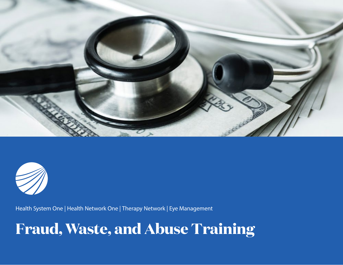



Health System One | Health Network One | Therapy Network | Eye Management

# **Fraud, Waste, and Abuse Training**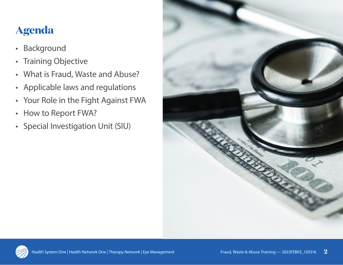# **Agenda**

- Background
- Training Objective
- What is Fraud, Waste and Abuse?
- Applicable laws and regulations
- Your Role in the Fight Against FWA
- How to Report FWA?
- Special Investigation Unit (SIU)



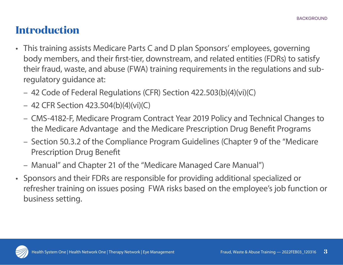# **Introduction**

- This training assists Medicare Parts C and D plan Sponsors' employees, governing body members, and their first-tier, downstream, and related entities (FDRs) to satisfy their fraud, waste, and abuse (FWA) training requirements in the regulations and subregulatory guidance at:
	- 42 Code of Federal Regulations (CFR) Section 422.503(b)(4)(vi)(C)
	- 42 CFR Section 423.504(b)(4)(vi)(C)
	- CMS-4182-F, Medicare Program Contract Year 2019 Policy and Technical Changes to the Medicare Advantage and the Medicare Prescription Drug Benefit Programs
	- Section 50.3.2 of the Compliance Program Guidelines (Chapter 9 of the "Medicare Prescription Drug Benefit
	- Manual" and Chapter 21 of the "Medicare Managed Care Manual")
- Sponsors and their FDRs are responsible for providing additional specialized or refresher training on issues posing FWA risks based on the employee's job function or business setting.

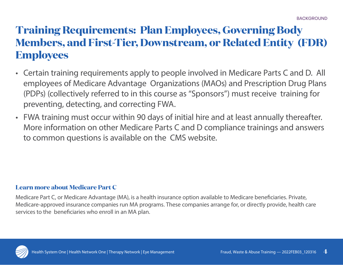# **Training Requirements: Plan Employees, Governing Body Members, and First-Tier, Downstream, or Related Entity (FDR) Employees**

- Certain training requirements apply to people involved in Medicare Parts C and D. All employees of Medicare Advantage Organizations (MAOs) and Prescription Drug Plans (PDPs) (collectively referred to in this course as "Sponsors") must receive training for preventing, detecting, and correcting FWA.
- FWA training must occur within 90 days of initial hire and at least annually thereafter. More information on other Medicare Parts C and D compliance trainings and answers to common questions is available on the CMS website.

#### **Learn more about Medicare Part C**

Medicare Part C, or Medicare Advantage (MA), is a health insurance option available to Medicare beneficiaries. Private, Medicare-approved insurance companies run MA programs. These companies arrange for, or directly provide, health care services to the beneficiaries who enroll in an MA plan.

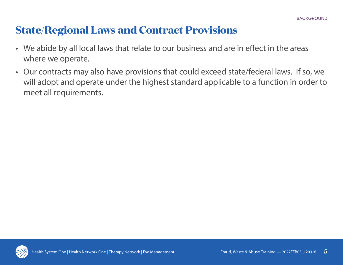# **State/Regional Laws and Contract Provisions**

- We abide by all local laws that relate to our business and are in effect in the areas where we operate.
- Our contracts may also have provisions that could exceed state/federal laws. If so, we will adopt and operate under the highest standard applicable to a function in order to meet all requirements.

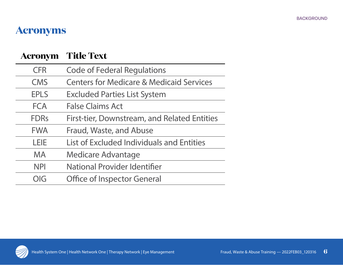### **Acronyms**

| <b>Acronym</b> | <b>Title Text</b>                                   |
|----------------|-----------------------------------------------------|
| <b>CFR</b>     | <b>Code of Federal Regulations</b>                  |
| <b>CMS</b>     | <b>Centers for Medicare &amp; Medicaid Services</b> |
| <b>EPLS</b>    | <b>Excluded Parties List System</b>                 |
| <b>FCA</b>     | <b>False Claims Act</b>                             |
| <b>FDRs</b>    | First-tier, Downstream, and Related Entities        |
| <b>FWA</b>     | Fraud, Waste, and Abuse                             |
| LEIE           | <b>List of Excluded Individuals and Entities</b>    |
| <b>MA</b>      | <b>Medicare Advantage</b>                           |
| <b>NPI</b>     | <b>National Provider Identifier</b>                 |
| OIG            | <b>Office of Inspector General</b>                  |

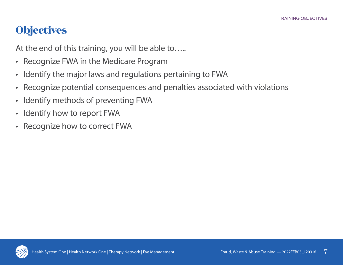# **Objectives**

At the end of this training, you will be able to…..

- Recognize FWA in the Medicare Program
- Identify the major laws and regulations pertaining to FWA
- Recognize potential consequences and penalties associated with violations
- Identify methods of preventing FWA
- Identify how to report FWA
- Recognize how to correct FWA

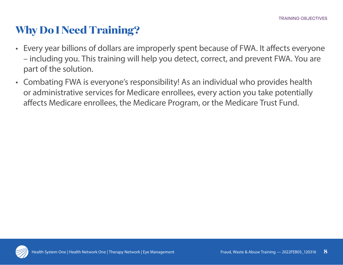## **Why Do I Need Training?**

- Every year billions of dollars are improperly spent because of FWA. It affects everyone – including you. This training will help you detect, correct, and prevent FWA. You are part of the solution.
- Combating FWA is everyone's responsibility! As an individual who provides health or administrative services for Medicare enrollees, every action you take potentially affects Medicare enrollees, the Medicare Program, or the Medicare Trust Fund.

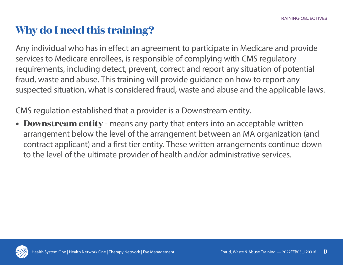# **Why do I need this training?**

Any individual who has in effect an agreement to participate in Medicare and provide services to Medicare enrollees, is responsible of complying with CMS regulatory requirements, including detect, prevent, correct and report any situation of potential fraud, waste and abuse. This training will provide guidance on how to report any suspected situation, what is considered fraud, waste and abuse and the applicable laws.

CMS regulation established that a provider is a Downstream entity.

**• Downstream entity** - means any party that enters into an acceptable written arrangement below the level of the arrangement between an MA organization (and contract applicant) and a first tier entity. These written arrangements continue down to the level of the ultimate provider of health and/or administrative services.

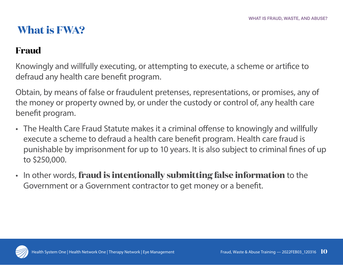# **What is FWA?**

### **Fraud**

Knowingly and willfully executing, or attempting to execute, a scheme or artifice to defraud any health care benefit program.

Obtain, by means of false or fraudulent pretenses, representations, or promises, any of the money or property owned by, or under the custody or control of, any health care benefit program.

- The Health Care Fraud Statute makes it a criminal offense to knowingly and willfully execute a scheme to defraud a health care benefit program. Health care fraud is punishable by imprisonment for up to 10 years. It is also subject to criminal fines of up to \$250,000.
- In other words, **fraud is intentionally submitting false information** to the Government or a Government contractor to get money or a benefit.

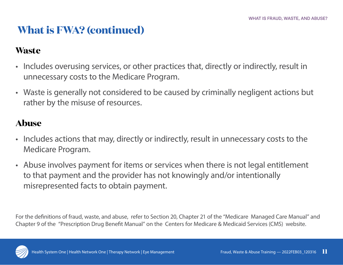# **What is FWA? (continued)**

#### **Waste**

- Includes overusing services, or other practices that, directly or indirectly, result in unnecessary costs to the Medicare Program.
- Waste is generally not considered to be caused by criminally negligent actions but rather by the misuse of resources.

### **Abuse**

- Includes actions that may, directly or indirectly, result in unnecessary costs to the Medicare Program.
- Abuse involves payment for items or services when there is not legal entitlement to that payment and the provider has not knowingly and/or intentionally misrepresented facts to obtain payment.

For the definitions of fraud, waste, and abuse, refer to Section 20, Chapter 21 of the "Medicare Managed Care Manual" and Chapter 9 of the "Prescription Drug Benefit Manual" on the Centers for Medicare & Medicaid Services (CMS) website.

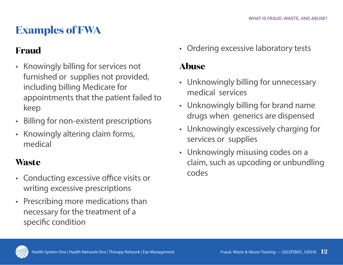# **Examples of FWA**

### **Fraud**

- Knowingly billing for services not furnished or supplies not provided, including billing Medicare for appointments that the patient failed to keep
- Billing for non-existent prescriptions
- Knowingly altering claim forms, medical

### **Waste**

- Conducting excessive office visits or writing excessive prescriptions
- Prescribing more medications than necessary for the treatment of a specific condition

• Ordering excessive laboratory tests

### **Abuse**

- Unknowingly billing for unnecessary medical services
- Unknowingly billing for brand name drugs when generics are dispensed
- Unknowingly excessively charging for services or supplies
- Unknowingly misusing codes on a claim, such as upcoding or unbundling codes

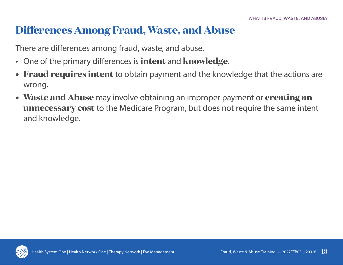## **Differences Among Fraud, Waste, and Abuse**

There are differences among fraud, waste, and abuse.

- One of the primary differences is **intent** and **knowledge**.
- **• Fraud requires intent** to obtain payment and the knowledge that the actions are wrong.
- **• Waste and Abuse** may involve obtaining an improper payment or **creating an unnecessary cost** to the Medicare Program, but does not require the same intent and knowledge.

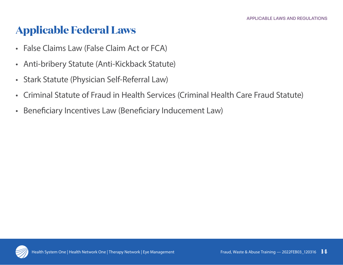## **Applicable Federal Laws**

- False Claims Law (False Claim Act or FCA)
- Anti-bribery Statute (Anti-Kickback Statute)
- Stark Statute (Physician Self-Referral Law)
- Criminal Statute of Fraud in Health Services (Criminal Health Care Fraud Statute)
- Beneficiary Incentives Law (Beneficiary Inducement Law)

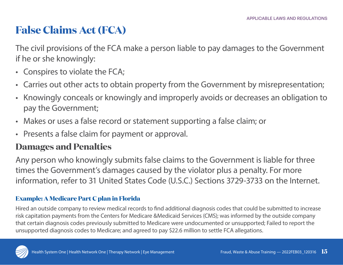# **False Claims Act (FCA)**

The civil provisions of the FCA make a person liable to pay damages to the Government if he or she knowingly:

- Conspires to violate the FCA;
- Carries out other acts to obtain property from the Government by misrepresentation;
- Knowingly conceals or knowingly and improperly avoids or decreases an obligation to pay the Government;
- Makes or uses a false record or statement supporting a false claim; or
- Presents a false claim for payment or approval.

#### **Damages and Penalties**

Any person who knowingly submits false claims to the Government is liable for three times the Government's damages caused by the violator plus a penalty. For more information, refer to 31 United States Code (U.S.C.) Sections 3729-3733 on the Internet.

#### **Example: A Medicare Part C plan in Florida**

Hired an outside company to review medical records to find additional diagnosis codes that could be submitted to increase risk capitation payments from the Centers for Medicare &Medicaid Services (CMS); was informed by the outside company that certain diagnosis codes previously submitted to Medicare were undocumented or unsupported; Failed to report the unsupported diagnosis codes to Medicare; and agreed to pay \$22.6 million to settle FCA allegations.

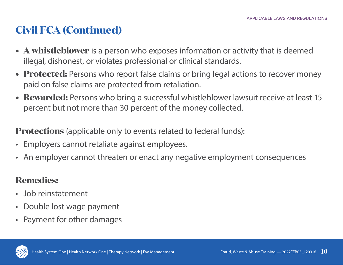# **Civil FCA (Continued)**

- **• A whistleblower** is a person who exposes information or activity that is deemed illegal, dishonest, or violates professional or clinical standards.
- **• Protected:** Persons who report false claims or bring legal actions to recover money paid on false claims are protected from retaliation.
- **• Rewarded:** Persons who bring a successful whistleblower lawsuit receive at least 15 percent but not more than 30 percent of the money collected.

**Protections** (applicable only to events related to federal funds):

- Employers cannot retaliate against employees.
- An employer cannot threaten or enact any negative employment consequences

### **Remedies:**

- Job reinstatement
- Double lost wage payment
- Payment for other damages

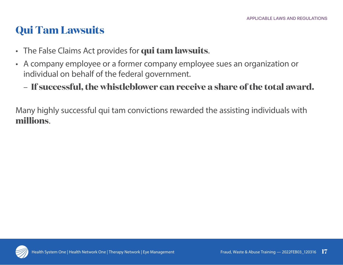# **Qui Tam Lawsuits**

- The False Claims Act provides for **qui tam lawsuits**.
- A company employee or a former company employee sues an organization or individual on behalf of the federal government.
	- **If successful, the whistleblower can receive a share of the total award.**

Many highly successful qui tam convictions rewarded the assisting individuals with **millions**.

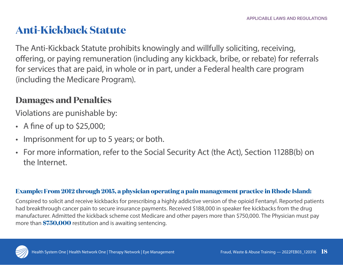### **Anti-Kickback Statute**

The Anti-Kickback Statute prohibits knowingly and willfully soliciting, receiving, offering, or paying remuneration (including any kickback, bribe, or rebate) for referrals for services that are paid, in whole or in part, under a Federal health care program (including the Medicare Program).

#### **Damages and Penalties**

Violations are punishable by:

- A fine of up to \$25,000;
- Imprisonment for up to 5 years; or both.
- For more information, refer to the Social Security Act (the Act), Section 1128B(b) on the Internet.

#### **Example: From 2012 through 2015, a physician operating a pain management practice in Rhode Island:**

Conspired to solicit and receive kickbacks for prescribing a highly addictive version of the opioid Fentanyl. Reported patients had breakthrough cancer pain to secure insurance payments. Received \$188,000 in speaker fee kickbacks from the drug manufacturer. Admitted the kickback scheme cost Medicare and other payers more than \$750,000. The Physician must pay more than **\$750,000** restitution and is awaiting sentencing.

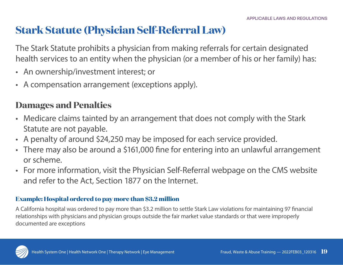## **Stark Statute (Physician Self-Referral Law)**

The Stark Statute prohibits a physician from making referrals for certain designated health services to an entity when the physician (or a member of his or her family) has:

- An ownership/investment interest; or
- A compensation arrangement (exceptions apply).

### **Damages and Penalties**

- Medicare claims tainted by an arrangement that does not comply with the Stark Statute are not payable.
- A penalty of around \$24,250 may be imposed for each service provided.
- There may also be around a \$161,000 fine for entering into an unlawful arrangement or scheme.
- For more information, visit the Physician Self-Referral webpage on the CMS website and refer to the Act, Section 1877 on the Internet.

#### **Example: Hospital ordered to pay more than \$3.2 million**

A California hospital was ordered to pay more than \$3.2 million to settle Stark Law violations for maintaining 97 financial relationships with physicians and physician groups outside the fair market value standards or that were improperly documented are exceptions

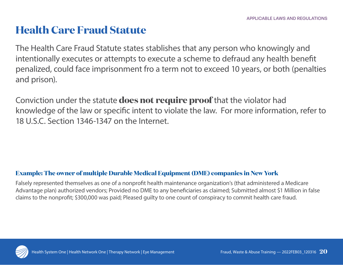### **Health Care Fraud Statute**

The Health Care Fraud Statute states stablishes that any person who knowingly and intentionally executes or attempts to execute a scheme to defraud any health benefit penalized, could face imprisonment fro a term not to exceed 10 years, or both (penalties and prison).

Conviction under the statute **does not require proof** that the violator had knowledge of the law or specific intent to violate the law. For more information, refer to 18 U.S.C. Section 1346-1347 on the Internet.

#### **Example: The owner of multiple Durable Medical Equipment (DME) companies in New York**

Falsely represented themselves as one of a nonprofit health maintenance organization's (that administered a Medicare Advantage plan) authorized vendors; Provided no DME to any beneficiaries as claimed; Submitted almost \$1 Million in false claims to the nonprofit; \$300,000 was paid; Pleased guilty to one count of conspiracy to commit health care fraud.

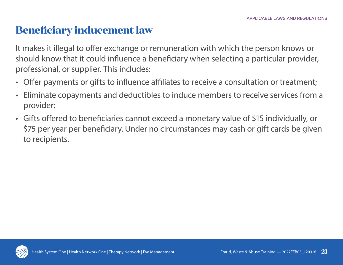### **Beneficiary inducement law**

It makes it illegal to offer exchange or remuneration with which the person knows or should know that it could influence a beneficiary when selecting a particular provider, professional, or supplier. This includes:

- Offer payments or gifts to influence affiliates to receive a consultation or treatment;
- Eliminate copayments and deductibles to induce members to receive services from a provider;
- Gifts offered to beneficiaries cannot exceed a monetary value of \$15 individually, or \$75 per year per beneficiary. Under no circumstances may cash or gift cards be given to recipients.

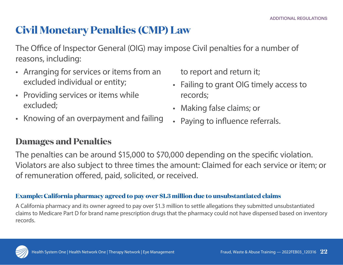### **Civil Monetary Penalties (CMP) Law**

The Office of Inspector General (OIG) may impose Civil penalties for a number of reasons, including:

- Arranging for services or items from an excluded individual or entity;
- Providing services or items while excluded;
- Knowing of an overpayment and failing

to report and return it;

- Failing to grant OIG timely access to records;
- Making false claims; or
- Paying to influence referrals.

#### **Damages and Penalties**

The penalties can be around \$15,000 to \$70,000 depending on the specific violation. Violators are also subject to three times the amount: Claimed for each service or item; or of remuneration offered, paid, solicited, or received.

#### **Example: California pharmacy agreed to pay over \$1.3 million due to unsubstantiated claims**

A California pharmacy and its owner agreed to pay over \$1.3 million to settle allegations they submitted unsubstantiated claims to Medicare Part D for brand name prescription drugs that the pharmacy could not have dispensed based on inventory records.

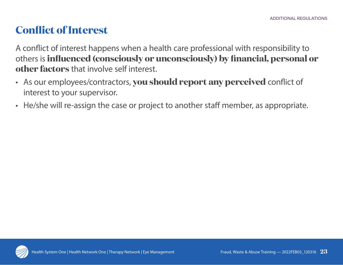# **Conflict of Interest**

A conflict of interest happens when a health care professional with responsibility to others is **influenced (consciously or unconsciously) by financial, personal or other factors** that involve self interest.

- As our employees/contractors, **you should report any perceived** conflict of interest to your supervisor.
- He/she will re-assign the case or project to another staff member, as appropriate.

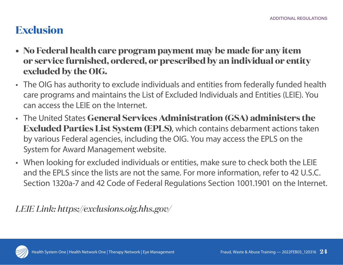## **Exclusion**

- **• No Federal health care program payment may be made for any item or service furnished, ordered, or prescribed by an individual or entity excluded by the OIG.**
- The OIG has authority to exclude individuals and entities from federally funded health care programs and maintains the List of Excluded Individuals and Entities (LEIE). You can access the LEIE on the Internet.
- The United States **General Services Administration (GSA) administers the Excluded Parties List System (EPLS)**, which contains debarment actions taken by various Federal agencies, including the OIG. You may access the EPLS on the System for Award Management website.
- When looking for excluded individuals or entities, make sure to check both the LEIE and the EPLS since the lists are not the same. For more information, refer to 42 U.S.C. Section 1320a-7 and 42 Code of Federal Regulations Section 1001.1901 on the Internet.

*LEIE Link: https://exclusions.oig.hhs.gov/*

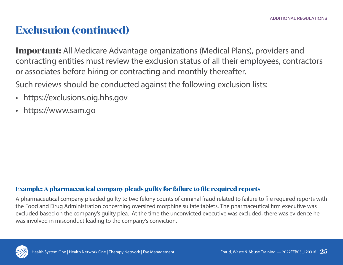### **Exclusuion (continued)**

**Important:** All Medicare Advantage organizations (Medical Plans), providers and contracting entities must review the exclusion status of all their employees, contractors or associates before hiring or contracting and monthly thereafter.

Such reviews should be conducted against the following exclusion lists:

- https://exclusions.oig.hhs.gov
- https://www.sam.go

#### **Example: A pharmaceutical company pleads guilty for failure to file required reports**

A pharmaceutical company pleaded guilty to two felony counts of criminal fraud related to failure to file required reports with the Food and Drug Administration concerning oversized morphine sulfate tablets. The pharmaceutical firm executive was excluded based on the company's guilty plea. At the time the unconvicted executive was excluded, there was evidence he was involved in misconduct leading to the company's conviction.

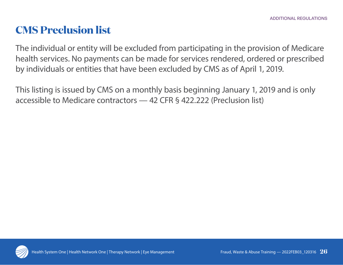### **CMS Preclusion list**

The individual or entity will be excluded from participating in the provision of Medicare health services. No payments can be made for services rendered, ordered or prescribed by individuals or entities that have been excluded by CMS as of April 1, 2019.

This listing is issued by CMS on a monthly basis beginning January 1, 2019 and is only accessible to Medicare contractors — 42 CFR § 422.222 (Preclusion list)

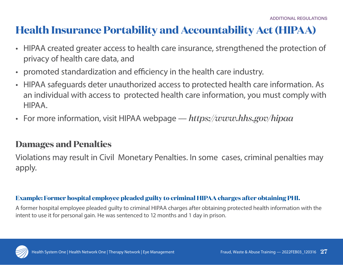### **Health Insurance Portability and Accountability Act (HIPAA)**

- HIPAA created greater access to health care insurance, strengthened the protection of privacy of health care data, and
- promoted standardization and efficiency in the health care industry.
- HIPAA safeguards deter unauthorized access to protected health care information. As an individual with access to protected health care information, you must comply with HIPAA.
- For more information, visit HIPAA webpage *https://www.hhs.gov/hipaa*

#### **Damages and Penalties**

Violations may result in Civil Monetary Penalties. In some cases, criminal penalties may apply.

#### **Example: Former hospital employee pleaded guilty to criminal HIPAA charges after obtaining PHI.**

A former hospital employee pleaded guilty to criminal HIPAA charges after obtaining protected health information with the intent to use it for personal gain. He was sentenced to 12 months and 1 day in prison.

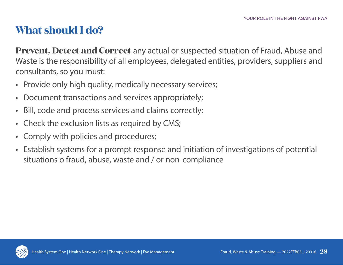# **What should I do?**

**Prevent, Detect and Correct** any actual or suspected situation of Fraud, Abuse and Waste is the responsibility of all employees, delegated entities, providers, suppliers and consultants, so you must:

- Provide only high quality, medically necessary services;
- Document transactions and services appropriately;
- Bill, code and process services and claims correctly;
- Check the exclusion lists as required by CMS;
- Comply with policies and procedures;
- Establish systems for a prompt response and initiation of investigations of potential situations o fraud, abuse, waste and / or non-compliance

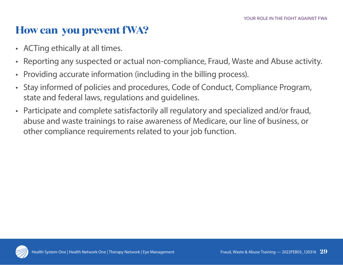### **How can you prevent fWA?**

- ACTing ethically at all times.
- Reporting any suspected or actual non-compliance, Fraud, Waste and Abuse activity.
- Providing accurate information (including in the billing process).
- Stay informed of policies and procedures, Code of Conduct, Compliance Program, state and federal laws, regulations and guidelines.
- Participate and complete satisfactorily all regulatory and specialized and/or fraud, abuse and waste trainings to raise awareness of Medicare, our line of business, or other compliance requirements related to your job function.

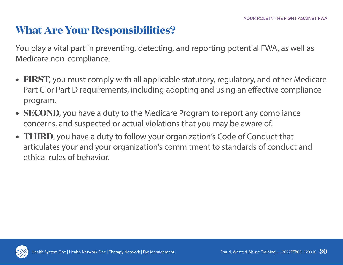### **What Are Your Responsibilities?**

You play a vital part in preventing, detecting, and reporting potential FWA, as well as Medicare non-compliance.

- **• FIRST**, you must comply with all applicable statutory, regulatory, and other Medicare Part C or Part D requirements, including adopting and using an effective compliance program.
- **• SECOND**, you have a duty to the Medicare Program to report any compliance concerns, and suspected or actual violations that you may be aware of.
- **• THIRD**, you have a duty to follow your organization's Code of Conduct that articulates your and your organization's commitment to standards of conduct and ethical rules of behavior.

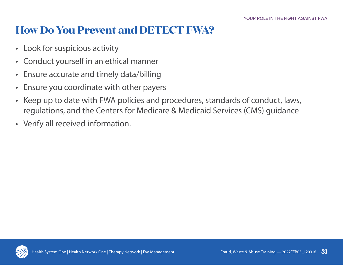# **How Do You Prevent and DETECT FWA?**

- Look for suspicious activity
- Conduct yourself in an ethical manner
- Ensure accurate and timely data/billing
- Ensure you coordinate with other payers
- Keep up to date with FWA policies and procedures, standards of conduct, laws, regulations, and the Centers for Medicare & Medicaid Services (CMS) guidance
- Verify all received information.

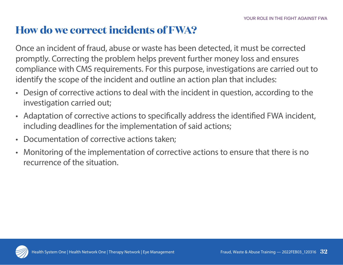## **How do we correct incidents of FWA?**

Once an incident of fraud, abuse or waste has been detected, it must be corrected promptly. Correcting the problem helps prevent further money loss and ensures compliance with CMS requirements. For this purpose, investigations are carried out to identify the scope of the incident and outline an action plan that includes:

- Design of corrective actions to deal with the incident in question, according to the investigation carried out;
- Adaptation of corrective actions to specifically address the identified FWA incident, including deadlines for the implementation of said actions;
- Documentation of corrective actions taken;
- Monitoring of the implementation of corrective actions to ensure that there is no recurrence of the situation.

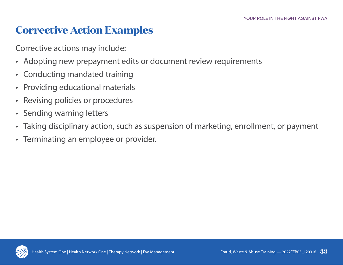### **Corrective Action Examples**

Corrective actions may include:

- Adopting new prepayment edits or document review requirements
- Conducting mandated training
- Providing educational materials
- Revising policies or procedures
- Sending warning letters
- Taking disciplinary action, such as suspension of marketing, enrollment, or payment
- Terminating an employee or provider.

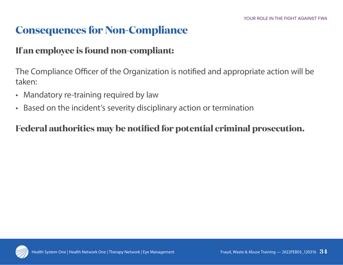# **Consequences for Non-Compliance**

#### **If an employee is found non-compliant:**

The Compliance Officer of the Organization is notified and appropriate action will be taken:

- Mandatory re-training required by law
- Based on the incident's severity disciplinary action or termination

### **Federal authorities may be notified for potential criminal prosecution.**

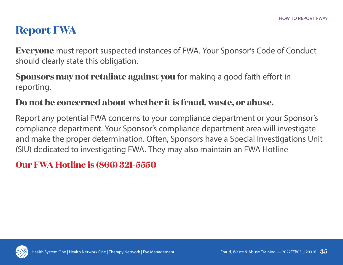# **Report FWA**

**Everyone** must report suspected instances of FWA. Your Sponsor's Code of Conduct should clearly state this obligation.

#### **Sponsors may not retaliate against you** for making a good faith effort in reporting.

#### **Do not be concerned about whether it is fraud, waste, or abuse.**

Report any potential FWA concerns to your compliance department or your Sponsor's compliance department. Your Sponsor's compliance department area will investigate and make the proper determination. Often, Sponsors have a Special Investigations Unit (SIU) dedicated to investigating FWA. They may also maintain an FWA Hotline

### **Our FWA Hotline is (866) 321-5550**

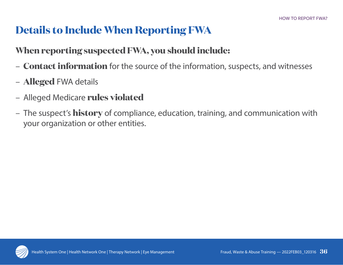# **Details to Include When Reporting FWA**

### **When reporting suspected FWA, you should include:**

- **Contact information** for the source of the information, suspects, and witnesses
- **Alleged** FWA details
- Alleged Medicare **rules violated**
- The suspect's **history** of compliance, education, training, and communication with your organization or other entities.

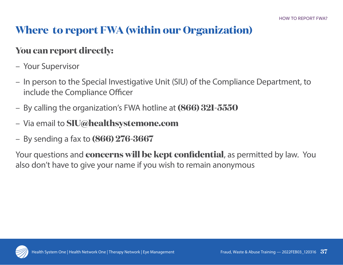# **Where to report FWA (within our Organization)**

### **You can report directly:**

- Your Supervisor
- In person to the Special Investigative Unit (SIU) of the Compliance Department, to include the Compliance Officer
- By calling the organization's FWA hotline at **(866) 321-5550**
- Via email to **SIU@healthsystemone.com**
- By sending a fax to **(866) 276-3667**

Your questions and **concerns will be kept confidential**, as permitted by law. You also don't have to give your name if you wish to remain anonymous

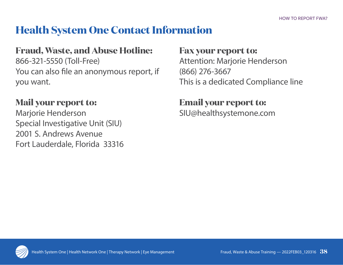## **Health System One Contact Information**

#### **Fraud, Waste, and Abuse Hotline:**

866-321-5550 (Toll-Free) You can also file an anonymous report, if you want.

### **Mail your report to:**

Marjorie Henderson Special Investigative Unit (SIU) 2001 S. Andrews Avenue Fort Lauderdale, Florida 33316

#### **Fax your report to:**

Attention: Marjorie Henderson (866) 276-3667 This is a dedicated Compliance line

# **Email your report to:**

SIU@healthsystemone.com

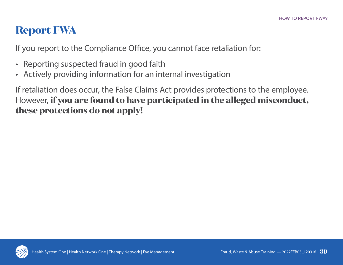# **Report FWA**

If you report to the Compliance Office, you cannot face retaliation for:

- Reporting suspected fraud in good faith
- Actively providing information for an internal investigation

If retaliation does occur, the False Claims Act provides protections to the employee. However, **if you are found to have participated in the alleged misconduct, these protections do not apply!**

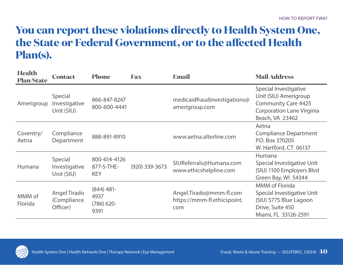## **You can report these violations directly to Health System One, the State or Federal Government, or to the affected Health Plan(s).**

| <b>Health</b><br><b>Plan/State</b> | <b>Contact</b>                                | <b>Phone</b>                                 | <b>Fax</b>       | <b>Email</b>                                                  | <b>Mail Address</b>                                                                                                                 |
|------------------------------------|-----------------------------------------------|----------------------------------------------|------------------|---------------------------------------------------------------|-------------------------------------------------------------------------------------------------------------------------------------|
| Amerigroup                         | <b>Special</b><br>Investigative<br>Unit (SIU) | 866-847-8247<br>800-600-4441                 |                  | medicaidfraudinvestigations@<br>amerigroup.com                | Special Investigative<br>Unit (SIU) Amerigroup<br><b>Community Care 4425</b><br><b>Corporation Lane Virginia</b><br>Beach, VA 23462 |
| Coventry/<br>Aetna                 | Compliance<br>Department                      | 888-891-8910                                 |                  | www.aetna.alterline.com                                       | Aetna<br><b>Compliance Department</b><br>P.O. Box 370205<br>W. Hartford, CT 06137                                                   |
| Humana                             | Special<br>Investigative<br>Unit (SIU)        | 800-614-4126<br>877-5-THE-<br><b>KEY</b>     | $(920)$ 339-3673 | SIUReferrals@Humana.com<br>www.ethicshelpline.com             | Humana<br>Special Investigative Unit<br>(SIU) 1100 Employers Blvd<br>Green Bay, WI 54344                                            |
| MMM of<br>Florida                  | Angel Tirado<br>(Compliance<br>Officer)       | $(844)$ 481-<br>4937<br>$(786)$ 620-<br>9391 |                  | Angel.Tirado@mmm-fl.com<br>https://mmm-fl.ethicspoint.<br>com | <b>MMM</b> of Florida<br>Special Investigative Unit<br>(SIU) 5775 Blue Lagoon<br>Drive, Suite 450<br>Miami, FL 33126-2591           |

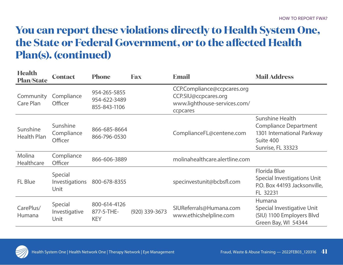## **You can report these violations directly to Health System One, the State or Federal Government, or to the affected Health Plan(s). (continued)**

| <b>Health</b><br><b>Plan/State</b> | <b>Contact</b>                    | <b>Phone</b>                                 | <b>Fax</b>       | <b>Email</b>                                                                                    | <b>Mail Address</b>                                                                                                    |
|------------------------------------|-----------------------------------|----------------------------------------------|------------------|-------------------------------------------------------------------------------------------------|------------------------------------------------------------------------------------------------------------------------|
| Community<br>Care Plan             | Compliance<br>Officer             | 954-265-5855<br>954-622-3489<br>855-843-1106 |                  | CCP.Compliance@ccpcares.org<br>CCP.SIU@ccpcares.org<br>www.lighthouse-services.com/<br>ccpcares |                                                                                                                        |
| Sunshine<br><b>Health Plan</b>     | Sunshine<br>Compliance<br>Officer | 866-685-8664<br>866-796-0530                 |                  | ComplianceFL@centene.com                                                                        | <b>Sunshine Health</b><br><b>Compliance Department</b><br>1301 International Parkway<br>Suite 400<br>Sunrise, FL 33323 |
| Molina<br>Healthcare               | Compliance<br>Officer             | 866-606-3889                                 |                  | molinahealthcare.alertline.com                                                                  |                                                                                                                        |
| FL Blue                            | Special<br>Investigations<br>Unit | 800-678-8355                                 |                  | specinvestunit@bcbsfl.com                                                                       | <b>Florida Blue</b><br>Special Investigations Unit<br>P.O. Box 44193 Jacksonville,<br>FL 32231                         |
| CarePlus/<br>Humana                | Special<br>Investigative<br>Unit  | 800-614-4126<br>877-5-THE-<br><b>KEY</b>     | $(920)$ 339-3673 | SIUReferrals@Humana.com<br>www.ethicshelpline.com                                               | Humana<br>Special Investigative Unit<br>(SIU) 1100 Employers Blvd<br>Green Bay, WI 54344                               |

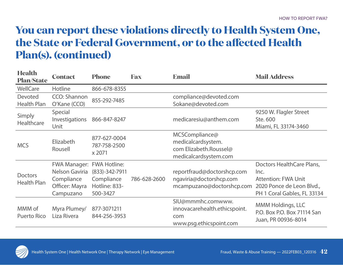# **You can report these violations directly to Health System One, the State or Federal Government, or to the affected Health Plan(s). (continued)**

| <b>Health</b><br><b>Plan/State</b>   | <b>Contact</b>                                                                     | <b>Phone</b>                                                                       | <b>Fax</b>   | <b>Email</b>                                                                            | <b>Mail Address</b>                                                                                                         |
|--------------------------------------|------------------------------------------------------------------------------------|------------------------------------------------------------------------------------|--------------|-----------------------------------------------------------------------------------------|-----------------------------------------------------------------------------------------------------------------------------|
| WellCare                             | Hotline                                                                            | 866-678-8355                                                                       |              |                                                                                         |                                                                                                                             |
| <b>Devoted</b><br><b>Health Plan</b> | CCO: Shannon<br>O'Kane (CCO)                                                       | 855-292-7485                                                                       |              | compliance@devoted.com<br>Sokane@devoted.com                                            |                                                                                                                             |
| Simply<br>Healthcare                 | Special<br>Investigations<br>Unit                                                  | 866-847-8247                                                                       |              | medicaresiu@anthem.com                                                                  | 9250 W. Flagler Street<br>Ste. 600<br>Miami, FL 33174-3460                                                                  |
| <b>MCS</b>                           | Elizabeth<br>Rousell                                                               | 877-627-0004<br>787-758-2500<br>x 2071                                             |              | MCSCompliance@<br>medicalcardsystem.<br>com Elizabeth.Roussel@<br>medicalcardsystem.com |                                                                                                                             |
| <b>Doctors</b><br><b>Health Plan</b> | <b>FWA Manager:</b><br>Nelson Gaviria<br>Compliance<br>Officer: Mayra<br>Campuzano | <b>FWA Hotline:</b><br>$(833)-342-7911$<br>Compliance<br>Hotline: 833-<br>500-3427 | 786-628-2600 | reportfraud@doctorshcp.com<br>ngaviria@doctorshcp.com<br>mcampuzano@doctorshcp.com      | Doctors HealthCare Plans,<br>Inc.<br><b>Attention: FWA Unit</b><br>2020 Ponce de Leon Blvd.,<br>PH 1 Coral Gables, FL 33134 |
| MMM of<br><b>Puerto Rico</b>         | Myra Plumey/<br>Liza Rivera                                                        | 877-3071211<br>844-256-3953                                                        |              | SIU@mmmhc.comwww.<br>innovacarehealth.ethicspoint.<br>com<br>www.psg.ethicspoint.com    | MMM Holdings, LLC<br>P.O. Box P.O. Box 71114 San<br>Juan, PR 00936-8014                                                     |

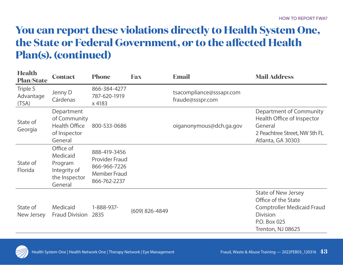# **You can report these violations directly to Health System One, the State or Federal Government, or to the affected Health Plan(s). (continued)**

| <b>Health</b><br><b>Plan/State</b> | <b>Contact</b>                                                                | <b>Phone</b>                                                                                 | <b>Fax</b>     | <b>Email</b>                                 | <b>Mail Address</b>                                                                                                                            |
|------------------------------------|-------------------------------------------------------------------------------|----------------------------------------------------------------------------------------------|----------------|----------------------------------------------|------------------------------------------------------------------------------------------------------------------------------------------------|
| Triple S<br>Advantage<br>(TSA)     | Jenny D<br>Cárdenas                                                           | 866-384-4277<br>787-620-1919<br>x 4183                                                       |                | tsacompliance@sssapr.com<br>fraude@ssspr.com |                                                                                                                                                |
| State of<br>Georgia                | Department<br>of Community<br><b>Health Office</b><br>of Inspector<br>General | 800-533-0686                                                                                 |                | oiganonymous@dch.ga.gov                      | Department of Community<br>Health Office of Inspector<br>General<br>2 Peachtree Street, NW 5th FL<br>Atlanta, GA 30303                         |
| State of<br>Florida                | Office of<br>Medicaid<br>Program<br>Integrity of<br>the Inspector<br>General  | 888-419-3456<br><b>Provider Fraud</b><br>866-966-7226<br><b>Member Fraud</b><br>866-762-2237 |                |                                              |                                                                                                                                                |
| State of<br>New Jersey             | <b>Medicaid</b><br><b>Fraud Division</b>                                      | 1-888-937-<br>2835                                                                           | (609) 826-4849 |                                              | <b>State of New Jersey</b><br>Office of the State<br><b>Comptroller Medicaid Fraud</b><br><b>Division</b><br>P.O. Box 025<br>Trenton, NJ 08625 |

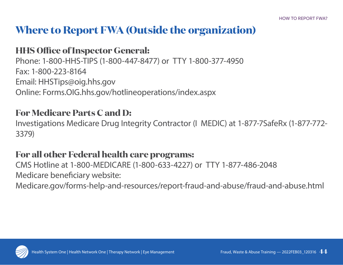## **Where to Report FWA (Outside the organization)**

#### **HHS Office of Inspector General:**

Phone: 1-800-HHS-TIPS (1-800-447-8477) or TTY 1-800-377-4950 Fax: 1-800-223-8164 Email: HHSTips@oig.hhs.gov Online: Forms.OIG.hhs.gov/hotlineoperations/index.aspx

#### **For Medicare Parts C and D:**

Investigations Medicare Drug Integrity Contractor (I MEDIC) at 1-877-7SafeRx (1-877-772- 3379)

#### **For all other Federal health care programs:**

CMS Hotline at 1-800-MEDICARE (1-800-633-4227) or TTY 1-877-486-2048 Medicare beneficiary website: Medicare.gov/forms-help-and-resources/report-fraud-and-abuse/fraud-and-abuse.html

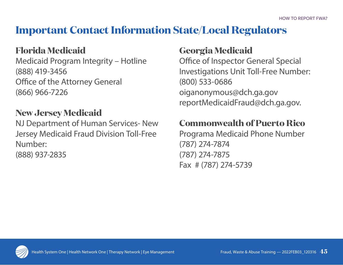## **Important Contact Information State/Local Regulators**

### **Florida Medicaid**

Medicaid Program Integrity – Hotline (888) 419-3456 Office of the Attorney General (866) 966-7226

### **New Jersey Medicaid**

NJ Department of Human Services- New Jersey Medicaid Fraud Division Toll-Free Number: (888) 937-2835

### **Georgia Medicaid**

Office of Inspector General Special Investigations Unit Toll-Free Number: (800) 533-0686 oiganonymous@dch.ga.gov reportMedicaidFraud@dch.ga.gov.

### **Commonwealth of Puerto Rico**

Programa Medicaid Phone Number (787) 274-7874 (787) 274-7875 Fax # (787) 274-5739

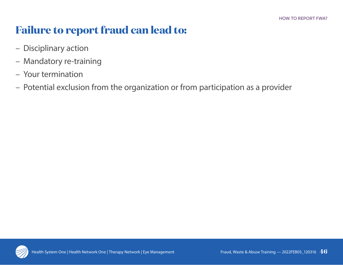# **Failure to report fraud can lead to:**

- Disciplinary action
- Mandatory re-training
- Your termination
- Potential exclusion from the organization or from participation as a provider

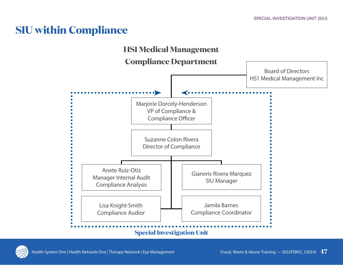### **SIU within Compliance**



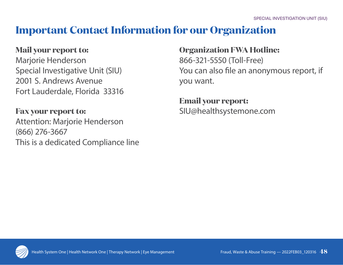### **Important Contact Information for our Organization**

#### **Mail your report to:**

Marjorie Henderson Special Investigative Unit (SIU) 2001 S. Andrews Avenue Fort Lauderdale, Florida 33316

**Fax your report to:** Attention: Marjorie Henderson (866) 276-3667 This is a dedicated Compliance line

#### **Organization FWA Hotline:**

866-321-5550 (Toll-Free) You can also file an anonymous report, if you want.

#### **Email your report:**  SIU@healthsystemone.com

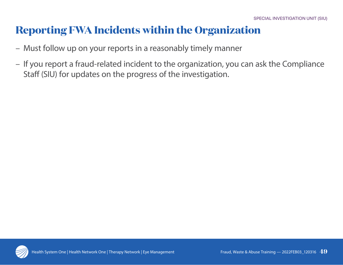### **Reporting FWA Incidents within the Organization**

- Must follow up on your reports in a reasonably timely manner
- If you report a fraud-related incident to the organization, you can ask the Compliance Staff (SIU) for updates on the progress of the investigation.

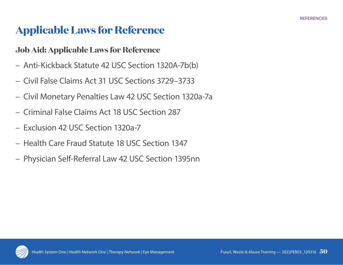# **Applicable Laws for Reference**

#### **Job Aid: Applicable Laws for Reference**

- Anti-Kickback Statute 42 USC Section 1320A-7b(b)
- Civil False Claims Act 31 USC Sections 3729–3733
- Civil Monetary Penalties Law 42 USC Section 1320a-7a
- Criminal False Claims Act 18 USC Section 287
- Exclusion 42 USC Section 1320a-7
- Health Care Fraud Statute 18 USC Section 1347
- Physician Self-Referral Law 42 USC Section 1395nn

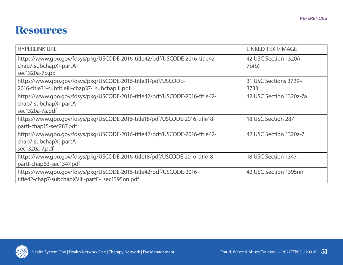### **Resources**

| <b>HYPERLINK URL</b>                                                                                                    | <b>LINKED TEXT/IMAGE</b>       |
|-------------------------------------------------------------------------------------------------------------------------|--------------------------------|
| https://www.gpo.gov/fdsys/pkg/USCODE-2016-title42/pdf/USCODE-2016-title42-<br>chap7-subchapXI-partA-<br>sec1320a-7b.pd  | 42 USC Section 1320A-<br>7b(b) |
| https://www.gpo.gov/fdsys/pkg/USCODE-2016-title31/pdf/USCODE-<br>2016-title31-subtitleIII-chap37- subchapIII.pdf        | 31 USC Sections 3729-<br>3733  |
| https://www.gpo.gov/fdsys/pkg/USCODE-2016-title42/pdf/USCODE-2016-title42-<br>chap7-subchapXI-partA-<br>sec1320a-7a.pdf | 42 USC Section 1320a-7a        |
| https://www.gpo.gov/fdsys/pkg/USCODE-2016-title18/pdf/USCODE-2016-title18-<br>partl-chap15-sec287.pdf                   | 18 USC Section 287             |
| https://www.gpo.gov/fdsys/pkg/USCODE-2016-title42/pdf/USCODE-2016-title42-<br>chap7-subchapXI-partA-<br>sec1320a-7.pdf  | 42 USC Section 1320a-7         |
| https://www.gpo.gov/fdsys/pkg/USCODE-2016-title18/pdf/USCODE-2016-title18-<br>partl-chap63-sec1347.pdf                  | 18 USC Section 1347            |
| https://www.gpo.gov/fdsys/pkg/USCODE-2016-title42/pdf/USCODE-2016-<br>title42-chap7-subchapXVIII-partE- sec1395nn.pdf   | 42 USC Section 1395nn          |

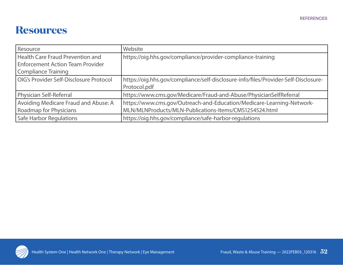### **Resources**

| Resource                                | Website                                                                             |
|-----------------------------------------|-------------------------------------------------------------------------------------|
| <b>Health Care Fraud Prevention and</b> | https://oig.hhs.gov/compliance/provider-compliance-training                         |
| <b>Enforcement Action Team Provider</b> |                                                                                     |
| <b>Compliance Training</b>              |                                                                                     |
| OIG's Provider Self-Disclosure Protocol | https://oig.hhs.gov/compliance/self-disclosure-info/files/Provider-Self-Disclosure- |
|                                         | Protocol.pdf                                                                        |
| Physician Self-Referral                 | https://www.cms.gov/Medicare/Fraud-and-Abuse/PhysicianSelfReferral                  |
| Avoiding Medicare Fraud and Abuse: A    | https://www.cms.gov/Outreach-and-Education/Medicare-Learning-Network-               |
| <b>Roadmap for Physicians</b>           | MLN/MLNProducts/MLN-Publications-Items/CMS1254524.html                              |
| <b>Safe Harbor Regulations</b>          | https://oig.hhs.gov/compliance/safe-harbor-regulations                              |